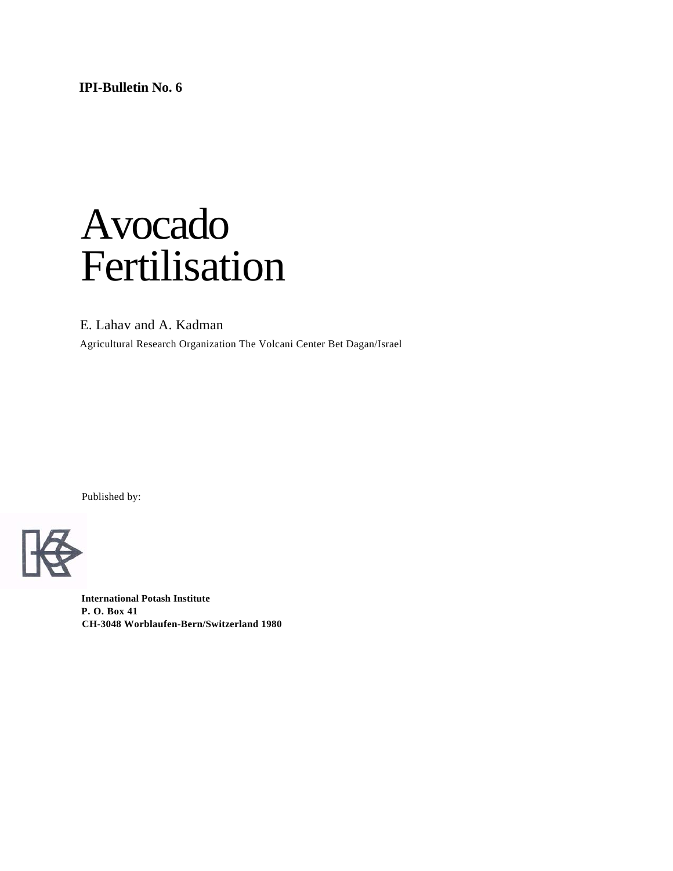**IPI-Bulletin No. 6**

# Avocado Fertilisation

E. Lahav and A. Kadman

Agricultural Research Organization The Volcani Center Bet Dagan/Israel

Published by:



**International Potash Institute P. O. Box 41 CH-3048 Worblaufen-Bern/Switzerland 1980**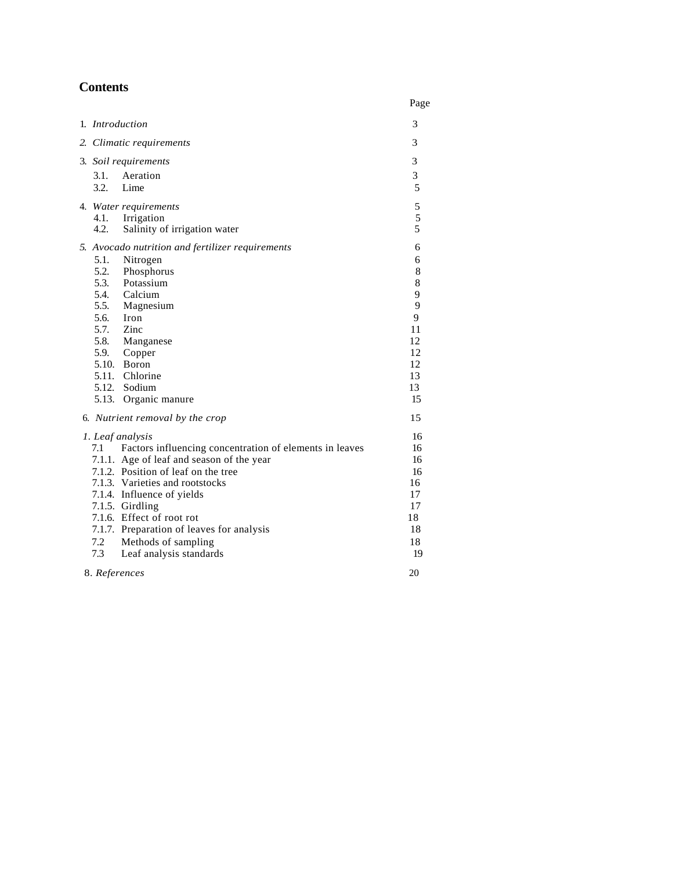## **Contents**

|                                                                                                                                                                                                                                                                                                                                                                                                                                         | Page                                                                      |
|-----------------------------------------------------------------------------------------------------------------------------------------------------------------------------------------------------------------------------------------------------------------------------------------------------------------------------------------------------------------------------------------------------------------------------------------|---------------------------------------------------------------------------|
| 1. <i>Introduction</i>                                                                                                                                                                                                                                                                                                                                                                                                                  | 3                                                                         |
| 2. Climatic requirements                                                                                                                                                                                                                                                                                                                                                                                                                | 3                                                                         |
| 3. Soil requirements                                                                                                                                                                                                                                                                                                                                                                                                                    | 3                                                                         |
| 3.1.<br>Aeration<br>3.2.<br>Lime                                                                                                                                                                                                                                                                                                                                                                                                        | 3<br>5                                                                    |
| 4. Water requirements<br>4.1. Irrigation<br>4.2.<br>Salinity of irrigation water                                                                                                                                                                                                                                                                                                                                                        | 5<br>5<br>5                                                               |
| 5. Avocado nutrition and fertilizer requirements<br>5.1.<br>Nitrogen<br>5.2. Phosphorus<br>5.3. Potassium<br>5.4. Calcium<br>5.5.<br>Magnesium<br>5.6.<br>Iron<br>5.7. Zinc<br>5.8. Manganese<br>5.9. Copper<br>5.10. Boron<br>5.11. Chlorine<br>5.12. Sodium<br>5.13. Organic manure                                                                                                                                                   | 6<br>6<br>8<br>8<br>9<br>9<br>9<br>11<br>12<br>12<br>12<br>13<br>13<br>15 |
| 6. Nutrient removal by the crop<br>1. Leaf analysis<br>Factors influencing concentration of elements in leaves<br>7.1<br>7.1.1. Age of leaf and season of the year<br>7.1.2. Position of leaf on the tree<br>7.1.3. Varieties and rootstocks<br>7.1.4. Influence of yields<br>7.1.5. Girdling<br>7.1.6. Effect of root rot<br>7.1.7. Preparation of leaves for analysis<br>7.2<br>Methods of sampling<br>7.3<br>Leaf analysis standards | 15<br>16<br>16<br>16<br>16<br>16<br>17<br>17<br>18<br>18<br>18<br>19      |
| 8. References                                                                                                                                                                                                                                                                                                                                                                                                                           | 20                                                                        |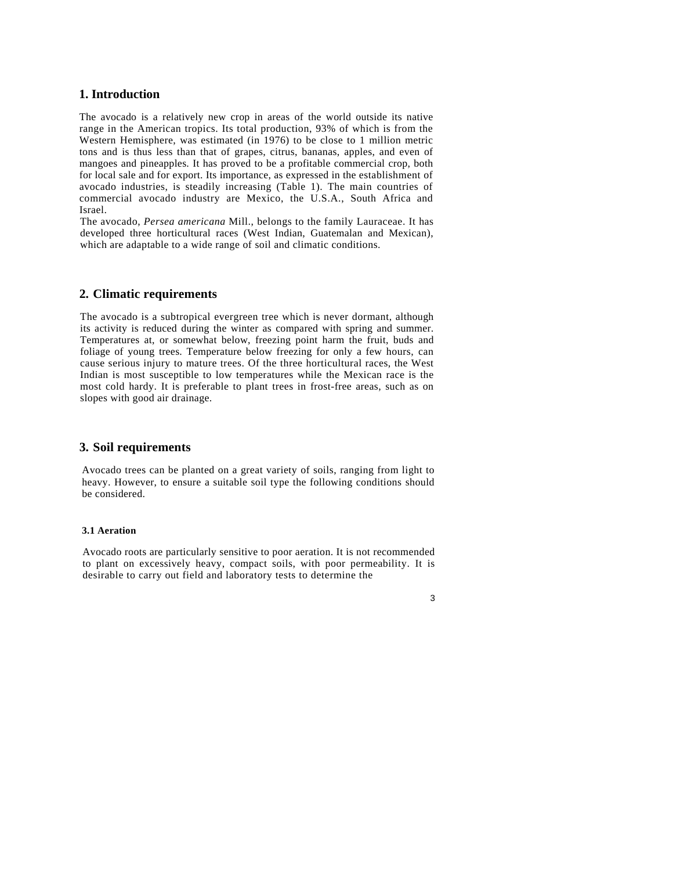## **1. Introduction**

The avocado is a relatively new crop in areas of the world outside its native range in the American tropics. Its total production, 93% of which is from the Western Hemisphere, was estimated (in 1976) to be close to 1 million metric tons and is thus less than that of grapes, citrus, bananas, apples, and even of mangoes and pineapples. It has proved to be a profitable commercial crop, both for local sale and for export. Its importance, as expressed in the establishment of avocado industries, is steadily increasing (Table 1). The main countries of commercial avocado industry are Mexico, the U.S.A., South Africa and Israel.

The avocado, *Persea americana* Mill., belongs to the family Lauraceae. It has developed three horticultural races (West Indian, Guatemalan and Mexican), which are adaptable to a wide range of soil and climatic conditions.

## **2. Climatic requirements**

The avocado is a subtropical evergreen tree which is never dormant, although its activity is reduced during the winter as compared with spring and summer. Temperatures at, or somewhat below, freezing point harm the fruit, buds and foliage of young trees. Temperature below freezing for only a few hours, can cause serious injury to mature trees. Of the three horticultural races, the West Indian is most susceptible to low temperatures while the Mexican race is the most cold hardy. It is preferable to plant trees in frost-free areas, such as on slopes with good air drainage.

## **3. Soil requirements**

Avocado trees can be planted on a great variety of soils, ranging from light to heavy. However, to ensure a suitable soil type the following conditions should be considered.

#### **3.1 Aeration**

Avocado roots are particularly sensitive to poor aeration. It is not recommended to plant on excessively heavy, compact soils, with poor permeability. It is desirable to carry out field and laboratory tests to determine the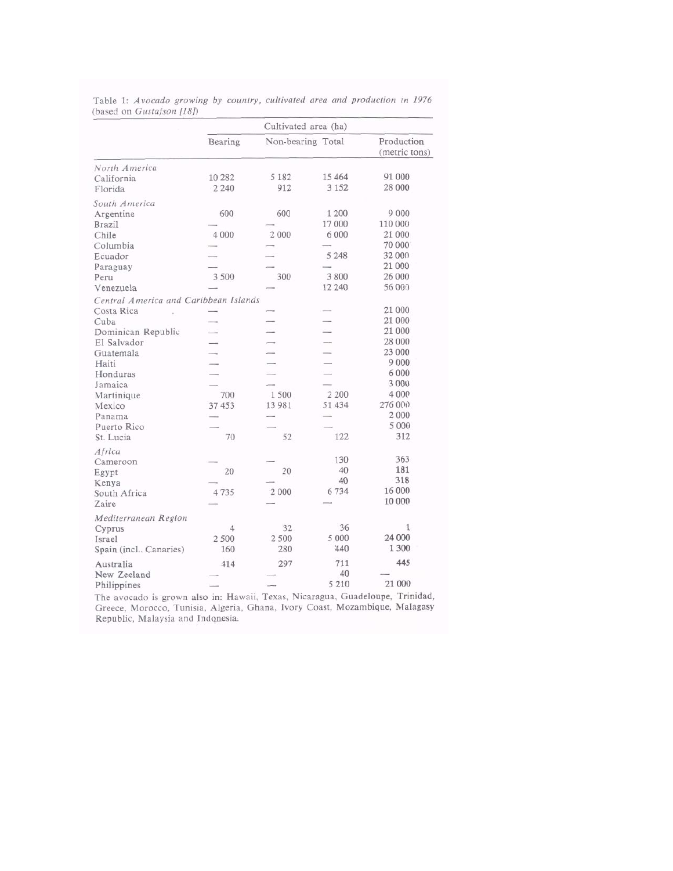|                                       | Cultivated area (ha) |                   |         |                             |  |
|---------------------------------------|----------------------|-------------------|---------|-----------------------------|--|
|                                       | Bearing              | Non-bearing Total |         | Production<br>(metric tons) |  |
| North America                         |                      |                   |         |                             |  |
| California                            | 10 28 2              | 5 1 8 2           | 15 4 64 | 91 000                      |  |
| Florida                               | 2 2 4 0              | 912               | 3 1 5 2 | 28 000                      |  |
| South America                         |                      |                   |         |                             |  |
| Argentine                             | 600                  | 600               | 1 200   | 9 0 0 0                     |  |
| <b>Brazil</b>                         |                      |                   | 17 000  | 110 000                     |  |
| Chile                                 | 4 0 0 0              | 2 0 0 0           | 6 0 0 0 | 21 000                      |  |
| Columbia                              |                      |                   |         | 70 000                      |  |
| Ecuador                               |                      |                   | 5 2 4 8 | 32 000                      |  |
| Paraguay                              |                      |                   |         | 21 000                      |  |
| Peru                                  | 3 500                | 300               | 3 800   | 26 000                      |  |
| Venezuela                             |                      |                   | 12 240  | 56 000                      |  |
| Central America and Caribbean Islands |                      |                   |         |                             |  |
| Costa Rica                            |                      |                   |         | 21 000                      |  |
| Cuba                                  |                      |                   |         | 21 000                      |  |
| Dominican Republic                    |                      |                   |         | 21 000                      |  |
| El Salvador                           |                      |                   |         | 28 000                      |  |
| Guatemala                             |                      |                   |         | 23 000                      |  |
| Haiti                                 |                      |                   |         | 9 0 0 0                     |  |
| Honduras                              |                      |                   |         | 6 0 0 0                     |  |
| Jamaica                               |                      |                   |         | 3 000                       |  |
| Martinique                            | 700                  | 1500              | 2 200   | 4 0 0 0                     |  |
| Mexico                                | 37 453               | 13 981            | 51 434  | 276 000                     |  |
| Panama                                |                      |                   |         | 2 0 0 0                     |  |
| Puerto Rico                           |                      |                   |         | 5 000                       |  |
| St. Lucia                             | 70                   | 52                | 122     | 312                         |  |
| Africa                                |                      |                   |         |                             |  |
| Cameroon                              |                      |                   | 130     | 363                         |  |
| Egypt                                 | 20                   | 20                | 40      | 181                         |  |
| Kenya                                 |                      |                   | 40      | 318                         |  |
| South Africa                          | 4735                 | 2 000             | 6734    | 16 000                      |  |
| Zaire                                 |                      |                   |         | 10 000                      |  |
| Mediterranean Region                  |                      |                   |         |                             |  |
| Cyprus                                | 4                    | 32                | 36      | $\mathbf{1}$                |  |
| Israel                                | 2 500                | 2 500             | 5 000   | 24 000                      |  |
| Spain (incl., Canaries)               | 160                  | 280               | 440     | 1 300                       |  |
| Australia                             | 414                  | 297               | 711     | 445                         |  |
| New Zeeland                           |                      |                   | 40      |                             |  |
| Philippines                           |                      |                   | 5 2 1 0 | 21 000                      |  |

Table 1: Avocado growing by country, cultivated area and production in 1976 (based on Gustafson [18]) ÷.

The avocado is grown also in: Hawaii, Texas, Nicaragua, Guadeloupe, Trinidad, Greece, Morocco, Tunisia, Algeria, Ghana, Ivory Coast, Mozambique, Malagasy Republic, Malaysia and Indonesia.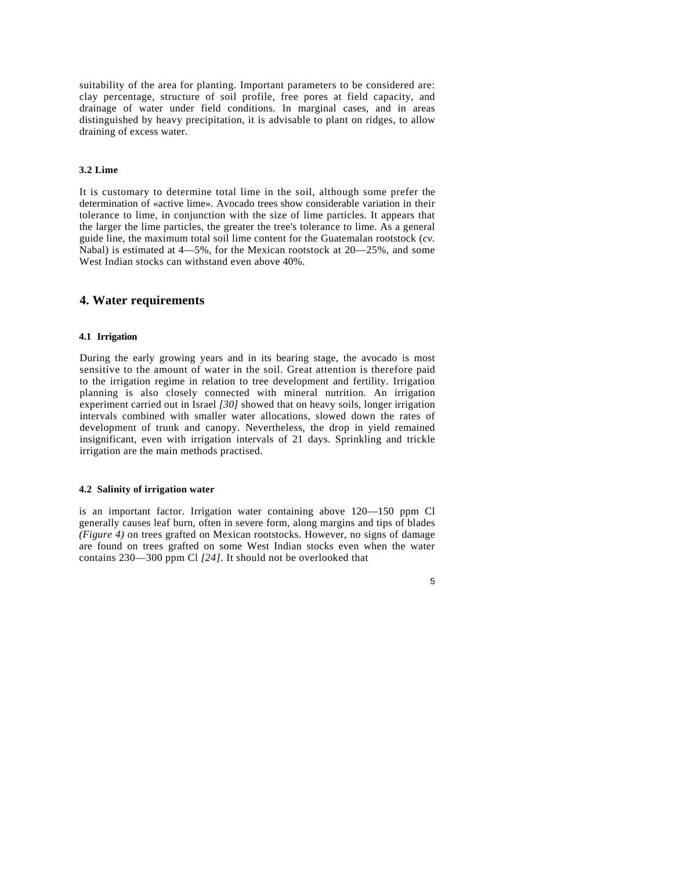suitability of the area for planting. Important parameters to be considered are: clay percentage, structure of soil profile, free pores at field capacity, and drainage of water under field conditions. In marginal cases, and in areas distinguished by heavy precipitation, it is advisable to plant on ridges, to allow draining of excess water.

## **3.2 Lime**

It is customary to determine total lime in the soil, although some prefer the determination of «active lime». Avocado trees show considerable variation in their tolerance to lime, in conjunction with the size of lime particles. It appears that the larger the lime particles, the greater the tree's tolerance to lime. As a general guide line, the maximum total soil lime content for the Guatemalan rootstock (*cv.*  Nabal) is estimated at 4—5%, for the Mexican rootstock at 20—25%, and some West Indian stocks can withstand even above 40%.

### **4. Water requirements**

#### **4.1 Irrigation**

During the early growing years and in its bearing stage, the avocado is most sensitive to the amount of water in the soil. Great attention is therefore paid to the irrigation regime in relation to tree development and fertility. Irrigation planning is also closely connected with mineral nutrition. An irrigation experiment carried out in Israel *[30]* showed that on heavy soils, longer irrigation intervals combined with smaller water allocations, slowed down the rates of development of trunk and canopy. Nevertheless, the drop in yield remained insignificant, even with irrigation intervals of 21 days. Sprinkling and trickle irrigation are the main methods practised.

#### **4.2 Salinity of irrigation water**

is an important factor. Irrigation water containing above 120—150 ppm Cl generally causes leaf burn, often in severe form, along margins and tips of blades *(Figure 4)* on trees grafted on Mexican rootstocks. However, no signs of damage are found on trees grafted on some West Indian stocks even when the water contains 230—300 ppm Cl *[24].* It should not be overlooked that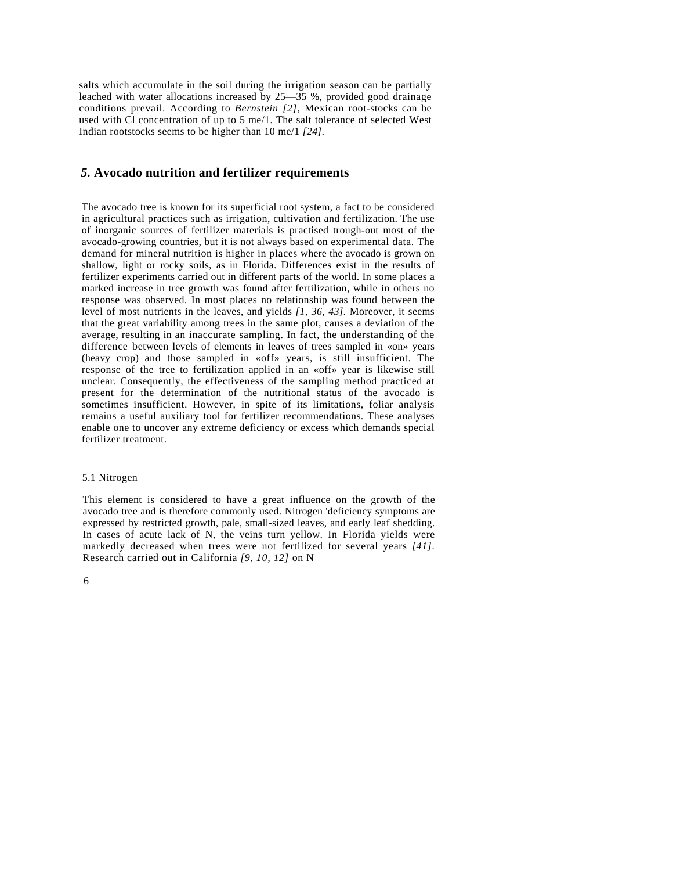salts which accumulate in the soil during the irrigation season can be partially leached with water allocations increased by 25—35 %, provided good drainage conditions prevail. According to *Bernstein [2],* Mexican root-stocks can be used with Cl concentration of up to 5 me/1. The salt tolerance of selected West Indian rootstocks seems to be higher than 10 me/1 *[24].*

## *5.* **Avocado nutrition and fertilizer requirements**

The avocado tree is known for its superficial root system, a fact to be considered in agricultural practices such as irrigation, cultivation and fertilization. The use of inorganic sources of fertilizer materials is practised trough-out most of the avocado-growing countries, but it is not always based on experimental data. The demand for mineral nutrition is higher in places where the avocado is grown on shallow, light or rocky soils, as in Florida. Differences exist in the results of fertilizer experiments carried out in different parts of the world. In some places a marked increase in tree growth was found after fertilization, while in others no response was observed. In most places no relationship was found between the level of most nutrients in the leaves, and yields *[1, 36, 43].* Moreover, it seems that the great variability among trees in the same plot, causes a deviation of the average, resulting in an inaccurate sampling. In fact, the understanding of the difference between levels of elements in leaves of trees sampled in «on» years (heavy crop) and those sampled in «off» years, is still insufficient. The response of the tree to fertilization applied in an «off» year is likewise still unclear. Consequently, the effectiveness of the sampling method practiced at present for the determination of the nutritional status of the avocado is sometimes insufficient. However, in spite of its limitations, foliar analysis remains a useful auxiliary tool for fertilizer recommendations. These analyses enable one to uncover any extreme deficiency or excess which demands special fertilizer treatment.

#### 5.1 Nitrogen

This element is considered to have a great influence on the growth of the avocado tree and is therefore commonly used. Nitrogen 'deficiency symptoms are expressed by restricted growth, pale, small-sized leaves, and early leaf shedding. In cases of acute lack of N, the veins turn yellow. In Florida yields were markedly decreased when trees were not fertilized for several years *[41].*  Research carried out in California *[9, 10, 12]* on N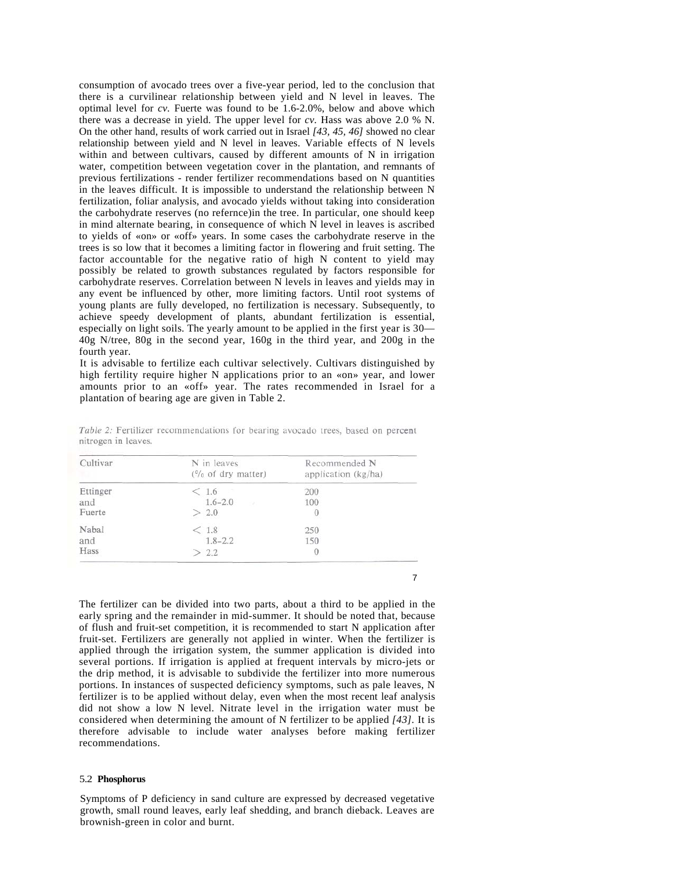consumption of avocado trees over a five-year period, led to the conclusion that there is a curvilinear relationship between yield and N level in leaves. The optimal level for *cv.* Fuerte was found to be 1.6-2.0%, below and above which there was a decrease in yield. The upper level for *cv.* Hass was above 2.0 % N. On the other hand, results of work carried out in Israel *[43, 45, 46]* showed no clear relationship between yield and N level in leaves. Variable effects of N levels within and between cultivars, caused by different amounts of N in irrigation water, competition between vegetation cover in the plantation, and remnants of previous fertilizations - render fertilizer recommendations based on N quantities in the leaves difficult. It is impossible to understand the relationship between N fertilization, foliar analysis, and avocado yields without taking into consideration the carbohydrate reserves (no refernce)in the tree. In particular, one should keep in mind alternate bearing, in consequence of which N level in leaves is ascribed to yields of «on» or «off» years. In some cases the carbohydrate reserve in the trees is so low that it becomes a limiting factor in flowering and fruit setting. The factor accountable for the negative ratio of high N content to yield may possibly be related to growth substances regulated by factors responsible for carbohydrate reserves. Correlation between N levels in leaves and yields may in any event be influenced by other, more limiting factors. Until root systems of young plants are fully developed, no fertilization is necessary. Subsequently, to achieve speedy development of plants, abundant fertilization is essential, especially on light soils. The yearly amount to be applied in the first year is 30— 40g N/tree, 80g in the second year, 160g in the third year, and 200g in the fourth year.

It is advisable to fertilize each cultivar selectively. Cultivars distinguished by high fertility require higher N applications prior to an «on» year, and lower amounts prior to an «off» year. The rates recommended in Israel for a plantation of bearing age are given in Table 2.

| Cultivar | N in leaves<br>$(^{0}/_{0}$ of dry matter) | Recommended N<br>application (kg/ha) |
|----------|--------------------------------------------|--------------------------------------|
| Ettinger | < 1.6                                      | 200                                  |
| and      | $1.6 - 2.0$                                | 100                                  |
| Fuerte   | > 2.0                                      |                                      |
| Nabal    | < 1.8                                      | 250                                  |
| and      | $1.8 - 2.2$                                | 150                                  |
| Hass     | > 2.2                                      | $\mathbf{0}$                         |

Table 2: Fertilizer recommendations for bearing avocado trees, based on percent nitrogen in leaves.

The fertilizer can be divided into two parts, about a third to be applied in the early spring and the remainder in mid-summer. It should be noted that, because of flush and fruit-set competition, it is recommended to start N application after fruit-set. Fertilizers are generally not applied in winter. When the fertilizer is applied through the irrigation system, the summer application is divided into several portions. If irrigation is applied at frequent intervals by micro-jets or the drip method, it is advisable to subdivide the fertilizer into more numerous portions. In instances of suspected deficiency symptoms, such as pale leaves, N fertilizer is to be applied without delay, even when the most recent leaf analysis did not show a low N level. Nitrate level in the irrigation water must be considered when determining the amount of N fertilizer to be applied *[43].* It is therefore advisable to include water analyses before making fertilizer recommendations.

#### 5.2 **Phosphorus**

Symptoms of P deficiency in sand culture are expressed by decreased vegetative growth, small round leaves, early leaf shedding, and branch dieback. Leaves are brownish-green in color and burnt.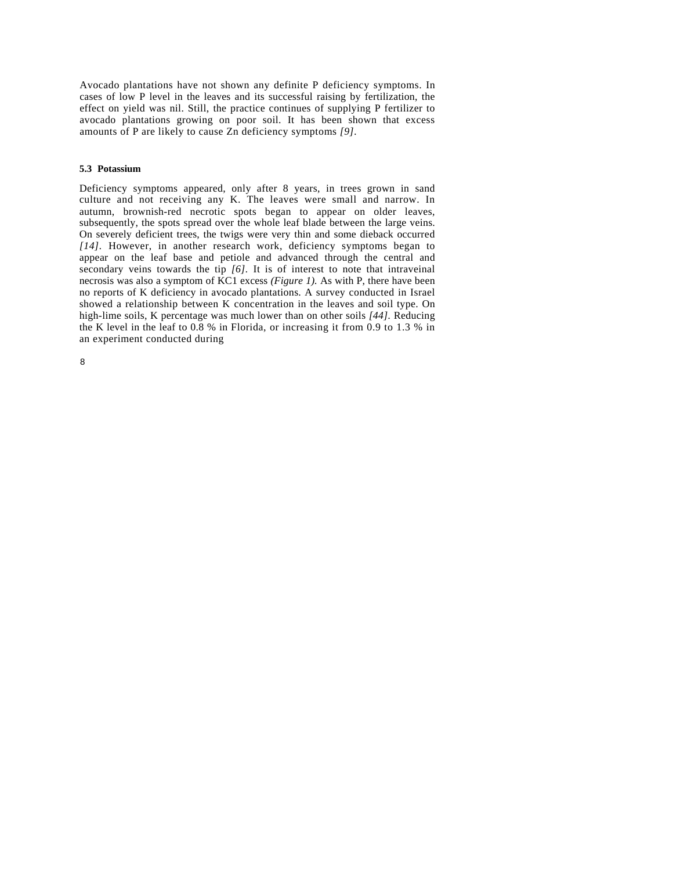Avocado plantations have not shown any definite P deficiency symptoms. In cases of low P level in the leaves and its successful raising by fertilization, the effect on yield was nil. Still, the practice continues of supplying P fertilizer to avocado plantations growing on poor soil. It has been shown that excess amounts of P are likely to cause Zn deficiency symptoms *[9].*

#### **5.3 Potassium**

Deficiency symptoms appeared, only after 8 years, in trees grown in sand culture and not receiving any K. The leaves were small and narrow. In autumn, brownish-red necrotic spots began to appear on older leaves, subsequently, the spots spread over the whole leaf blade between the large veins. On severely deficient trees, the twigs were very thin and some dieback occurred *[14].* However, in another research work, deficiency symptoms began to appear on the leaf base and petiole and advanced through the central and secondary veins towards the tip *[6].* It is of interest to note that intraveinal necrosis was also a symptom of KC1 excess *(Figure 1).* As with P, there have been no reports of K deficiency in avocado plantations. A survey conducted in Israel showed a relationship between K concentration in the leaves and soil type. On high-lime soils, K percentage was much lower than on other soils *[44].* Reducing the K level in the leaf to 0.8 % in Florida, or increasing it from 0.9 to 1.3 % in an experiment conducted during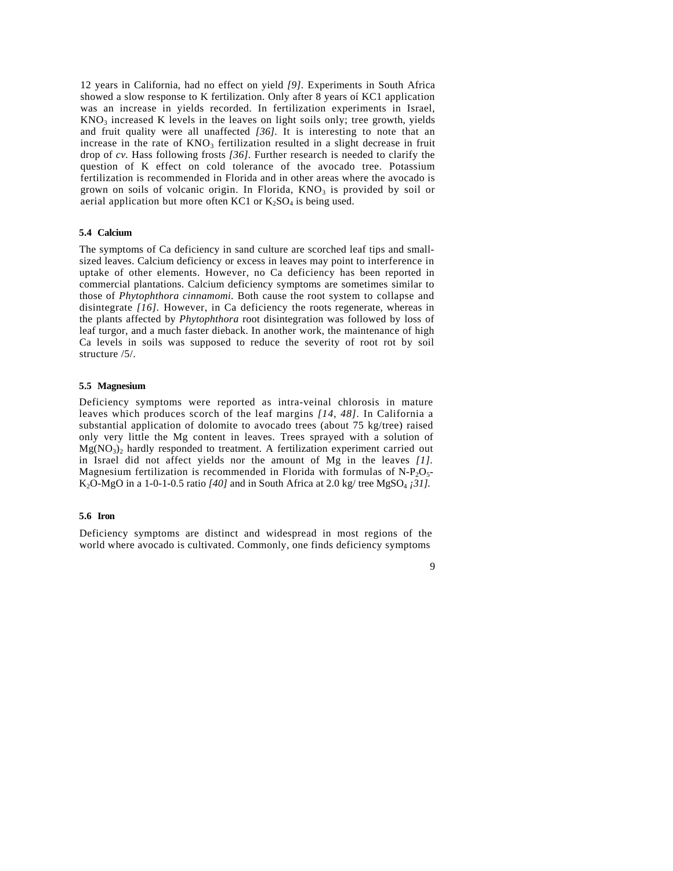12 years in California, had no effect on yield *[9].* Experiments in South Africa showed a slow response to K fertilization. Only after 8 years oí KC1 application was an increase in yields recorded. In fertilization experiments in Israel,  $KNO<sub>3</sub>$  increased K levels in the leaves on light soils only; tree growth, yields and fruit quality were all unaffected *[36].* It is interesting to note that an increase in the rate of  $KNO<sub>3</sub>$  fertilization resulted in a slight decrease in fruit drop of *cv.* Hass following frosts *[36].* Further research is needed to clarify the question of K effect on cold tolerance of the avocado tree. Potassium fertilization is recommended in Florida and in other areas where the avocado is grown on soils of volcanic origin. In Florida,  $KNO<sub>3</sub>$  is provided by soil or aerial application but more often KC1 or  $K_2SO_4$  is being used.

#### **5.4 Calcium**

The symptoms of Ca deficiency in sand culture are scorched leaf tips and smallsized leaves. Calcium deficiency or excess in leaves may point to interference in uptake of other elements. However, no Ca deficiency has been reported in commercial plantations. Calcium deficiency symptoms are sometimes similar to those of *Phytophthora cinnamomi.* Both cause the root system to collapse and disintegrate *[16].* However, in Ca deficiency the roots regenerate, whereas in the plants affected by *Phytophthora* root disintegration was followed by loss of leaf turgor, and a much faster dieback. In another work, the maintenance of high Ca levels in soils was supposed to reduce the severity of root rot by soil structure /5/.

#### **5.5 Magnesium**

Deficiency symptoms were reported as intra-veinal chlorosis in mature leaves which produces scorch of the leaf margins *[14, 48].* In California a substantial application of dolomite to avocado trees (about 75 kg/tree) raised only very little the Mg content in leaves. Trees sprayed with a solution of  $Mg(NO<sub>3</sub>)<sub>2</sub>$  hardly responded to treatment. A fertilization experiment carried out in Israel did not affect yields nor the amount of Mg in the leaves *[1].*  Magnesium fertilization is recommended in Florida with formulas of  $N-P_2O_5$ -K<sub>2</sub>O-MgO in a 1-0-1-0.5 ratio  $[40]$  and in South Africa at 2.0 kg/ tree MgSO<sub>4</sub>  $j31$ .

#### **5.6 Iron**

Deficiency symptoms are distinct and widespread in most regions of the world where avocado is cultivated. Commonly, one finds deficiency symptoms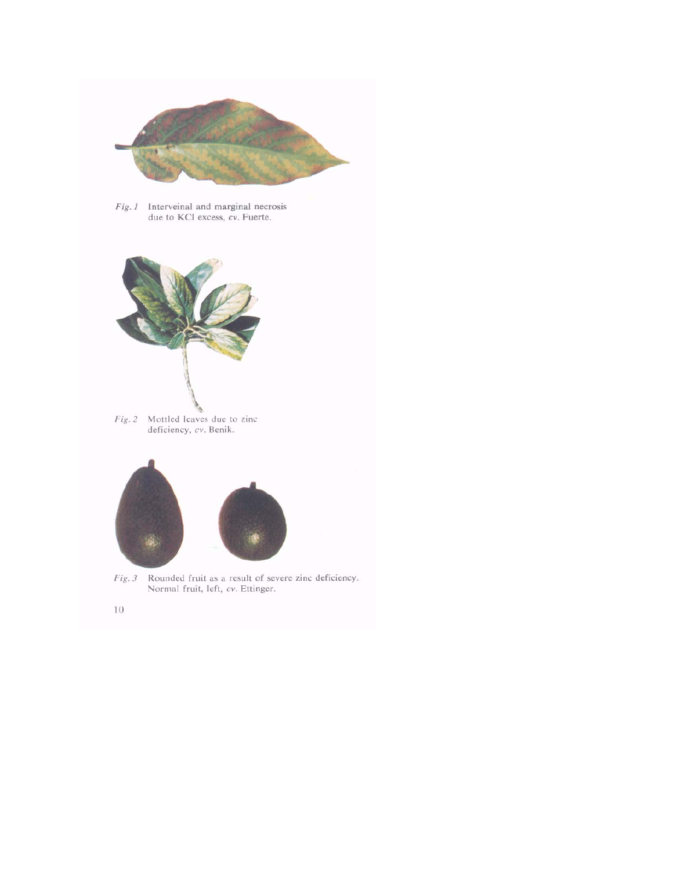

 $Fig. I$  Interveinal and marginal necrosis<br>due to KCl excess,  $cv$ . Fuerte.



Fig. 2 Mottled leaves due to zinc deficiency, cv. Benik.



 $Fig. 3$  Rounded fruit as a result of severe zinc deficiency.<br>Normal fruit, left,  $cv$ . Ettinger.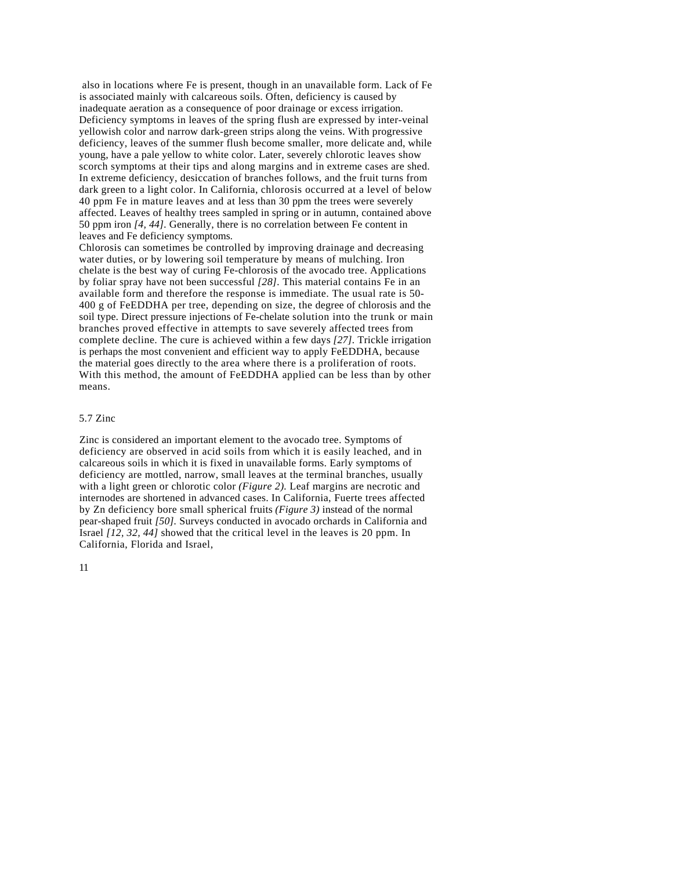also in locations where Fe is present, though in an unavailable form. Lack of Fe is associated mainly with calcareous soils. Often, deficiency is caused by inadequate aeration as a consequence of poor drainage or excess irrigation. Deficiency symptoms in leaves of the spring flush are expressed by inter-veinal yellowish color and narrow dark-green strips along the veins. With progressive deficiency, leaves of the summer flush become smaller, more delicate and, while young, have a pale yellow to white color. Later, severely chlorotic leaves show scorch symptoms at their tips and along margins and in extreme cases are shed. In extreme deficiency, desiccation of branches follows, and the fruit turns from dark green to a light color. In California, chlorosis occurred at a level of below 40 ppm Fe in mature leaves and at less than 30 ppm the trees were severely affected. Leaves of healthy trees sampled in spring or in autumn, contained above 50 ppm iron *[4, 44].* Generally, there is no correlation between Fe content in leaves and Fe deficiency symptoms.

Chlorosis can sometimes be controlled by improving drainage and decreasing water duties, or by lowering soil temperature by means of mulching. Iron chelate is the best way of curing Fe-chlorosis of the avocado tree. Applications by foliar spray have not been successful *[28].* This material contains Fe in an available form and therefore the response is immediate. The usual rate is 50- 400 g of FeEDDHA per tree, depending on size, the degree of chlorosis and the soil type. Direct pressure injections of Fe-chelate solution into the trunk or main branches proved effective in attempts to save severely affected trees from complete decline. The cure is achieved within a few days *[27].* Trickle irrigation is perhaps the most convenient and efficient way to apply FeEDDHA, because the material goes directly to the area where there is a proliferation of roots. With this method, the amount of FeEDDHA applied can be less than by other means.

#### 5.7 Zinc

Zinc is considered an important element to the avocado tree. Symptoms of deficiency are observed in acid soils from which it is easily leached, and in calcareous soils in which it is fixed in unavailable forms. Early symptoms of deficiency are mottled, narrow, small leaves at the terminal branches, usually with a light green or chlorotic color *(Figure 2)*. Leaf margins are necrotic and internodes are shortened in advanced cases. In California, Fuerte trees affected by Zn deficiency bore small spherical fruits *(Figure 3)* instead of the normal pear-shaped fruit *[50].* Surveys conducted in avocado orchards in California and Israel *[12, 32, 44]* showed that the critical level in the leaves is 20 ppm. In California, Florida and Israel,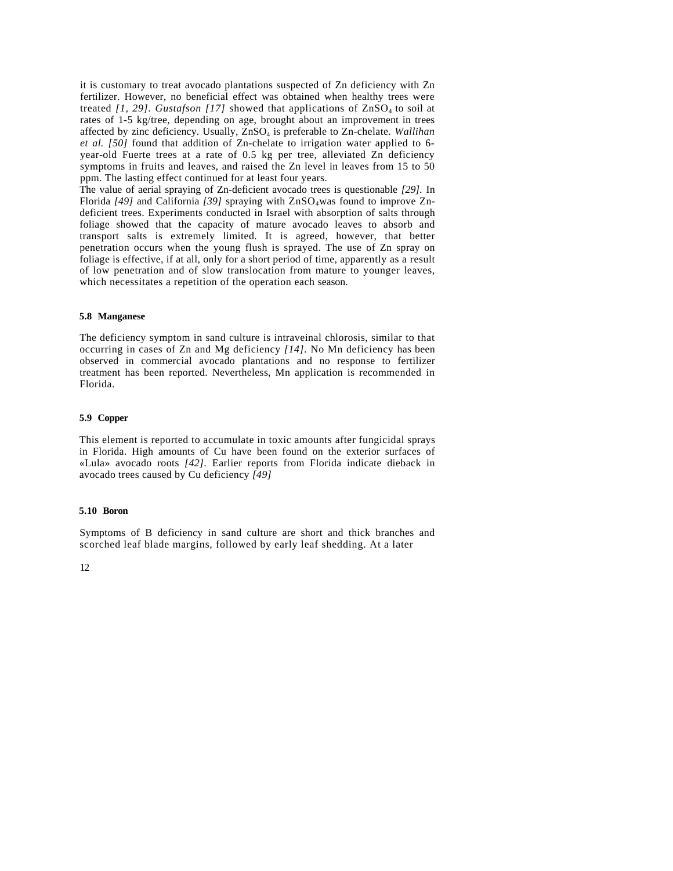it is customary to treat avocado plantations suspected of Zn deficiency with Zn fertilizer. However, no beneficial effect was obtained when healthy trees were treated *[1, 29].* Gustafson *[17]* showed that applications of  $\text{ZnSO}_4$  to soil at rates of 1-5 kg/tree, depending on age, brought about an improvement in trees affected by zinc deficiency. Usually, ZnSO4 is preferable to Zn-chelate. *Wallihan et al. [50]* found that addition of Zn-chelate to irrigation water applied to 6 year-old Fuerte trees at a rate of 0.5 kg per tree, alleviated Zn deficiency symptoms in fruits and leaves, and raised the Zn level in leaves from 15 to 50 ppm. The lasting effect continued for at least four years.

The value of aerial spraying of Zn-deficient avocado trees is questionable *[29].* In Florida [49] and California [39] spraying with ZnSO<sub>4</sub>was found to improve Zndeficient trees. Experiments conducted in Israel with absorption of salts through foliage showed that the capacity of mature avocado leaves to absorb and transport salts is extremely limited. It is agreed, however, that better penetration occurs when the young flush is sprayed. The use of Zn spray on foliage is effective, if at all, only for a short period of time, apparently as a result of low penetration and of slow translocation from mature to younger leaves, which necessitates a repetition of the operation each season.

#### **5.8 Manganese**

The deficiency symptom in sand culture is intraveinal chlorosis, similar to that occurring in cases of Zn and Mg deficiency *[14].* No Mn deficiency has been observed in commercial avocado plantations and no response to fertilizer treatment has been reported. Nevertheless, Mn application is recommended in Florida.

#### **5.9 Copper**

This element is reported to accumulate in toxic amounts after fungicidal sprays in Florida. High amounts of Cu have been found on the exterior surfaces of «Lula» avocado roots *[42].* Earlier reports from Florida indicate dieback in avocado trees caused by Cu deficiency *[49]*

#### **5.10 Boron**

Symptoms of B deficiency in sand culture are short and thick branches and scorched leaf blade margins, followed by early leaf shedding. At a later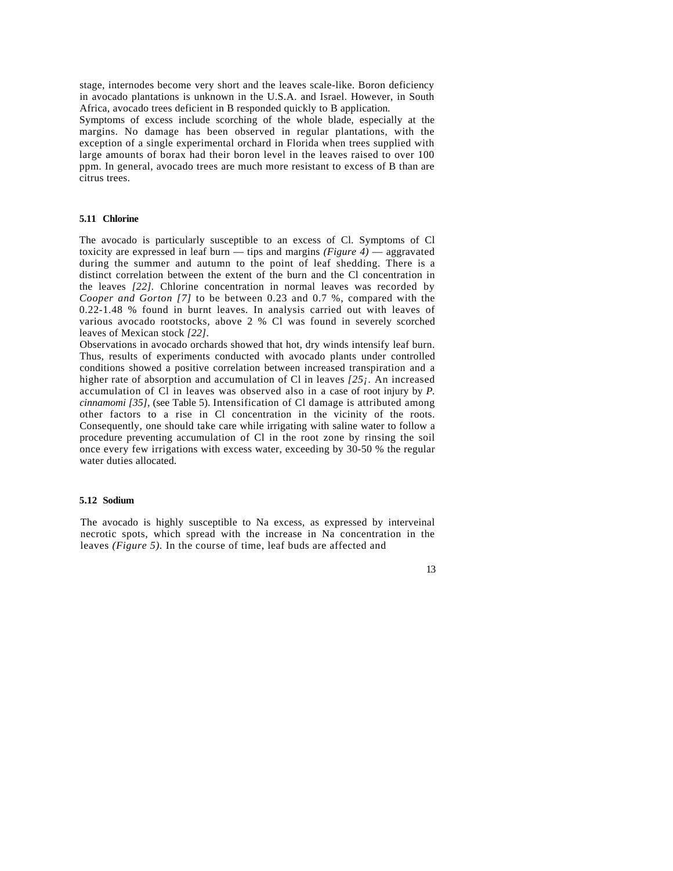stage, internodes become very short and the leaves scale-like. Boron deficiency in avocado plantations is unknown in the U.S.A. and Israel. However, in South Africa, avocado trees deficient in B responded quickly to B application.

Symptoms of excess include scorching of the whole blade, especially at the margins. No damage has been observed in regular plantations, with the exception of a single experimental orchard in Florida when trees supplied with large amounts of borax had their boron level in the leaves raised to over 100 ppm. In general, avocado trees are much more resistant to excess of B than are citrus trees.

#### **5.11 Chlorine**

The avocado is particularly susceptible to an excess of Cl. Symptoms of Cl toxicity are expressed in leaf burn — tips and margins *(Figure 4)* — aggravated during the summer and autumn to the point of leaf shedding. There is a distinct correlation between the extent of the burn and the Cl concentration in the leaves *[22].* Chlorine concentration in normal leaves was recorded by *Cooper and Gorton [7]* to be between 0.23 and 0.7 %, compared with the 0.22-1.48 % found in burnt leaves. In analysis carried out with leaves of various avocado rootstocks, above 2 % Cl was found in severely scorched leaves of Mexican stock *[22].*

Observations in avocado orchards showed that hot, dry winds intensify leaf burn. Thus, results of experiments conducted with avocado plants under controlled conditions showed a positive correlation between increased transpiration and a higher rate of absorption and accumulation of Cl in leaves *[25¡.* An increased accumulation of Cl in leaves was observed also in a case of root injury by *P. cinnamomi [35],* (see Table 5). Intensification of Cl damage is attributed among other factors to a rise in Cl concentration in the vicinity of the roots. Consequently, one should take care while irrigating with saline water to follow a procedure preventing accumulation of Cl in the root zone by rinsing the soil once every few irrigations with excess water, exceeding by 30-50 % the regular water duties allocated.

#### **5.12 Sodium**

The avocado is highly susceptible to Na excess, as expressed by interveinal necrotic spots, which spread with the increase in Na concentration in the leaves *(Figure 5).* In the course of time, leaf buds are affected and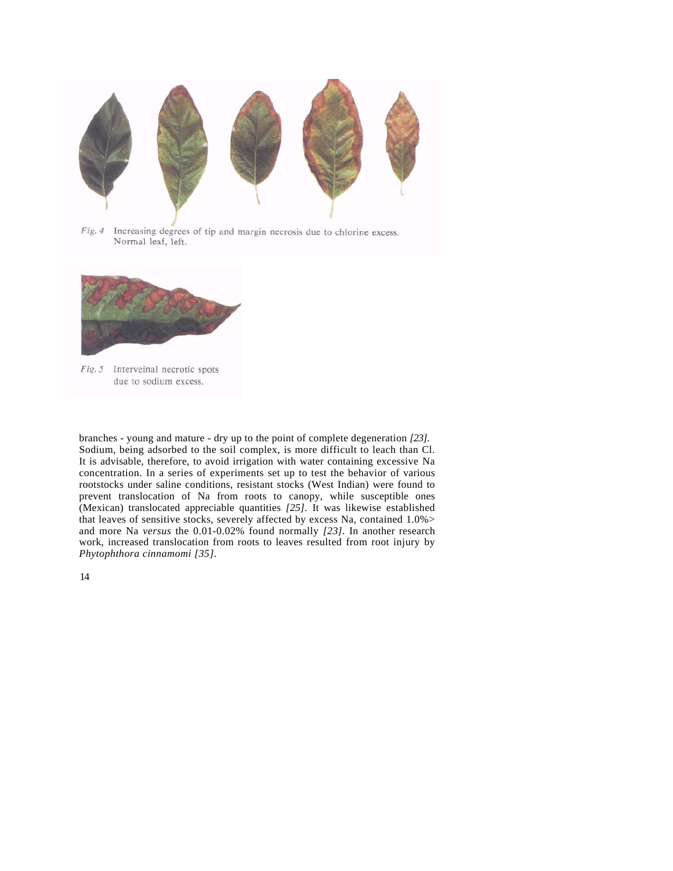

Fig. 4 Increasing degrees of tip and margin necrosis due to chlorine excess. Normal leaf, left.



Fig. 5 Interveinal necrotic spots due to sodium excess.

branches - young and mature - dry up to the point of complete degeneration *[23].* Sodium, being adsorbed to the soil complex, is more difficult to leach than Cl. It is advisable, therefore, to avoid irrigation with water containing excessive Na concentration. In a series of experiments set up to test the behavior of various rootstocks under saline conditions, resistant stocks (West Indian) were found to prevent translocation of Na from roots to canopy, while susceptible ones (Mexican) translocated appreciable quantities *[25].* It was likewise established that leaves of sensitive stocks, severely affected by excess Na, contained 1.0%> and more Na *versus* the 0.01-0.02% found normally *[23].* In another research work, increased translocation from roots to leaves resulted from root injury by *Phytophthora cinnamomi [35].*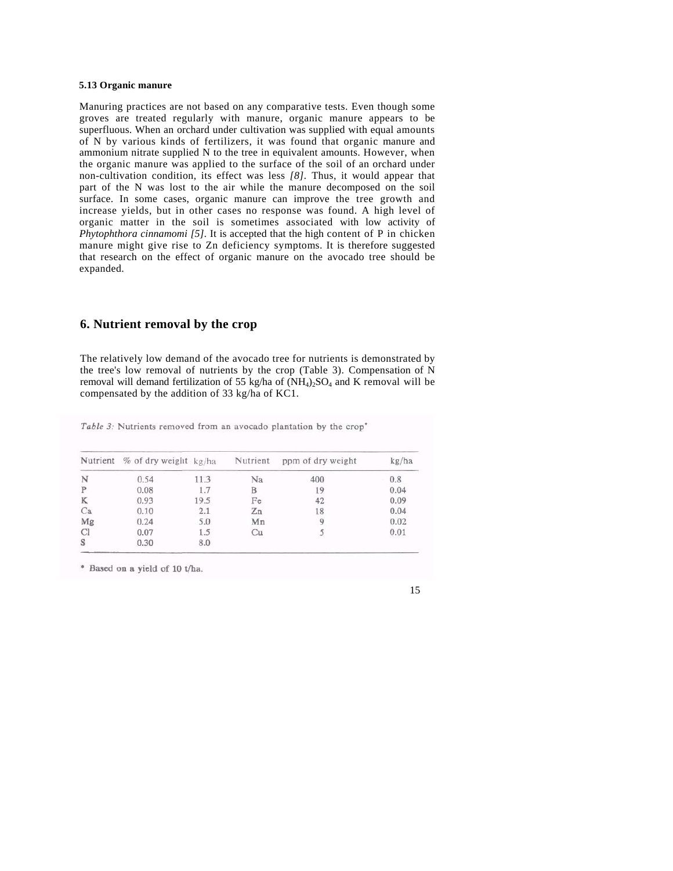#### **5.13 Organic manure**

Manuring practices are not based on any comparative tests. Even though some groves are treated regularly with manure, organic manure appears to be superfluous. When an orchard under cultivation was supplied with equal amounts of N by various kinds of fertilizers, it was found that organic manure and ammonium nitrate supplied N to the tree in equivalent amounts. However, when the organic manure was applied to the surface of the soil of an orchard under non-cultivation condition, its effect was less *[8].* Thus, it would appear that part of the N was lost to the air while the manure decomposed on the soil surface. In some cases, organic manure can improve the tree growth and increase yields, but in other cases no response was found. A high level of organic matter in the soil is sometimes associated with low activity of *Phytophthora cinnamomi [5].* It is accepted that the high content of P in chicken manure might give rise to Zn deficiency symptoms. It is therefore suggested that research on the effect of organic manure on the avocado tree should be expanded.

## **6. Nutrient removal by the crop**

The relatively low demand of the avocado tree for nutrients is demonstrated by the tree's low removal of nutrients by the crop (Table 3). Compensation of N removal will demand fertilization of 55 kg/ha of  $(NH<sub>4</sub>)<sub>2</sub>SO<sub>4</sub>$  and K removal will be compensated by the addition of 33 kg/ha of KC1.

Table 3: Nutrients removed from an avocado plantation by the crop'

|    | Nutrient % of dry weight kg/ha |      | Nutrient | ppm of dry weight | kg/ha |
|----|--------------------------------|------|----------|-------------------|-------|
| N  | 0.54                           | 11.3 | Na       | 400               | 0.8   |
| P  | 0.08                           | 1.7  | B        | 19                | 0.04  |
| K  | 0.93                           | 19.5 | Fe       | 42                | 0.09  |
| Ca | 0.10                           | 2.1  | Zn       | 18                | 0.04  |
| Mg | 0.24                           | 5.0  | Mn       |                   | 0.02  |
| CI | 0.07                           | 1.5  | Cu       |                   | 0.01  |
| S  | 0.30                           | 8.0  |          |                   |       |

\* Based on a yield of 10 t/ha.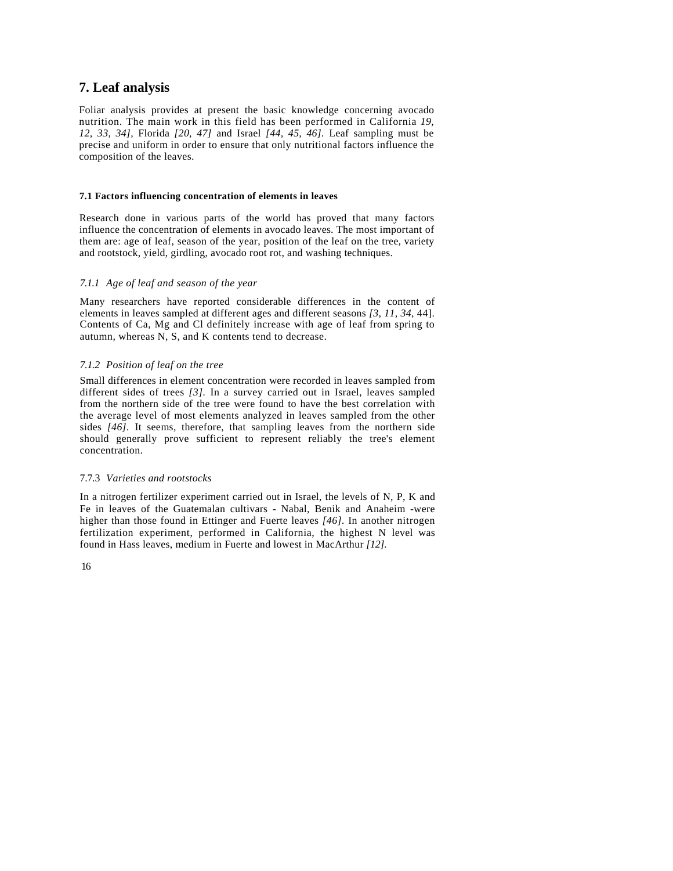## **7. Leaf analysis**

Foliar analysis provides at present the basic knowledge concerning avocado nutrition. The main work in this field has been performed in California *19, 12, 33, 34],* Florida *[20, 47]* and Israel *[44, 45, 46].* Leaf sampling must be precise and uniform in order to ensure that only nutritional factors influence the composition of the leaves.

#### **7.1 Factors influencing concentration of elements in leaves**

Research done in various parts of the world has proved that many factors influence the concentration of elements in avocado leaves. The most important of them are: age of leaf, season of the year, position of the leaf on the tree, variety and rootstock, yield, girdling, avocado root rot, and washing techniques.

## *7.1.1 Age of leaf and season of the year*

Many researchers have reported considerable differences in the content of elements in leaves sampled at different ages and different seasons *[3, 11, 34,* 44]. Contents of Ca, Mg and Cl definitely increase with age of leaf from spring to autumn, whereas N, S, and K contents tend to decrease.

#### *7.1.2 Position of leaf on the tree*

Small differences in element concentration were recorded in leaves sampled from different sides of trees *[3].* In a survey carried out in Israel, leaves sampled from the northern side of the tree were found to have the best correlation with the average level of most elements analyzed in leaves sampled from the other sides *[46].* It seems, therefore, that sampling leaves from the northern side should generally prove sufficient to represent reliably the tree's element concentration.

#### 7.7.3 *Varieties and rootstocks*

In a nitrogen fertilizer experiment carried out in Israel, the levels of N, P, K and Fe in leaves of the Guatemalan cultivars - Nabal, Benik and Anaheim -were higher than those found in Ettinger and Fuerte leaves *[46].* In another nitrogen fertilization experiment, performed in California, the highest N level was found in Hass leaves, medium in Fuerte and lowest in MacArthur *[12].*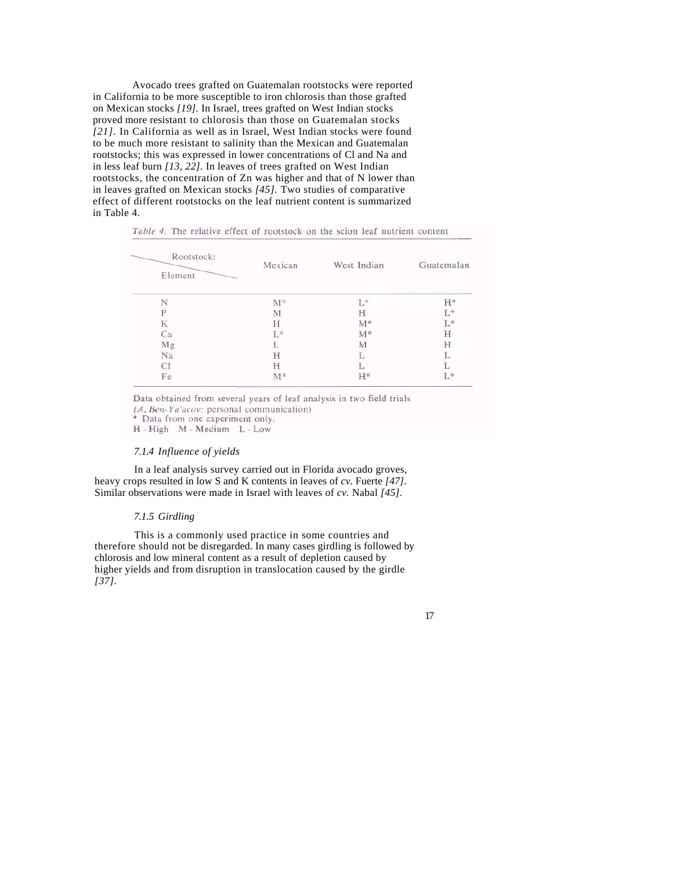Avocado trees grafted on Guatemalan rootstocks were reported in California to be more susceptible to iron chlorosis than those grafted on Mexican stocks *[19].* In Israel, trees grafted on West Indian stocks proved more resistant to chlorosis than those on Guatemalan stocks *[21].* In California as well as in Israel, West Indian stocks were found to be much more resistant to salinity than the Mexican and Guatemalan rootstocks; this was expressed in lower concentrations of Cl and Na and in less leaf burn *[13, 22].* In leaves of trees grafted on West Indian rootstocks, the concentration of Zn was higher and that of N lower than in leaves grafted on Mexican stocks *[45].* Two studies of comparative effect of different rootstocks on the leaf nutrient content is summarized in Table 4.

| Rootstock:<br>Element | Mexican | West Indian | Guatemalan |
|-----------------------|---------|-------------|------------|
|                       | $M^*$   | L*          | H*         |
| D                     | M       | Н           | L*         |
| К                     | Н       | $M^*$       | L*         |
| Ca                    | L*      | $M^*$       | Н          |
| Mg                    |         | М           | Н          |
| Na                    | Н       |             | L.         |
| Cl                    | Н       |             |            |
| Fe                    | $M^*$   | $H^*$       | L*         |

| <i>Table 4:</i> The relative effect of rootstock on the scion leaf nutrient conten |  |  |  |  |
|------------------------------------------------------------------------------------|--|--|--|--|
|------------------------------------------------------------------------------------|--|--|--|--|

Data obtained from several years of leaf analysis in two field trials  $(A, Ben-Ya'acov: personal communication)$ <br>\* Data from one experiment only. H - High M - Medium L - Low

#### *7.1.4 Influence of yields*

In a leaf analysis survey carried out in Florida avocado groves, heavy crops resulted in low S and K contents in leaves of *cv.* Fuerte *[47].*  Similar observations were made in Israel with leaves of *cv.* Nabal *[45].*

#### *7.1.5 Girdling*

This is a commonly used practice in some countries and therefore should not be disregarded. In many cases girdling is followed by chlorosis and low mineral content as a result of depletion caused by higher yields and from disruption in translocation caused by the girdle *[37].*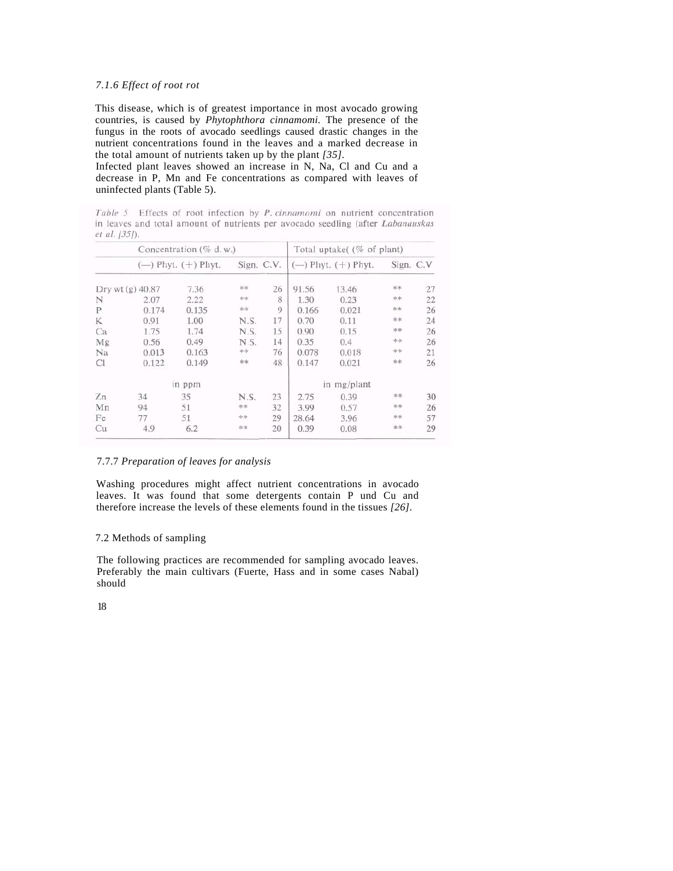## *7.1.6 Effect of root rot*

This disease, which is of greatest importance in most avocado growing countries, is caused by *Phytophthora cinnamomi.* The presence of the fungus in the roots of avocado seedlings caused drastic changes in the nutrient concentrations found in the leaves and a marked decrease in the total amount of nutrients taken up by the plant *[35].*

Infected plant leaves showed an increase in N, Na, Cl and Cu and a decrease in P, Mn and Fe concentrations as compared with leaves of uninfected plants (Table 5).

Table 5 Effects of root infection by P. cinnamomi on nutrient concentration in leaves and total amount of nutrients per avocado seedling (after Labanauskas et al. [35]).

|    |                  | Concentration $(\%$ d.w.) |            |    |       | Total uptake( (% of plant) |           |    |
|----|------------------|---------------------------|------------|----|-------|----------------------------|-----------|----|
|    |                  | $(-)$ Phyt. $(+)$ Phyt.   | Sign. C.V. |    |       | $(-)$ Phyt. $(+)$ Phyt.    | Sign. C.V |    |
|    | Dry wt (g) 40.87 | 7.36                      | 半米         | 26 | 91.56 | 13.46                      | 水市        | 27 |
| N  | 2.07             | 2.22                      | **         | 8  | 1.30  | 0.23                       | 米米        | 22 |
| P  | 0.174            | 0.135                     | **         | 9  | 0.166 | 0.021                      | 水水        | 26 |
| K  | 0.91             | 1.00                      | N.S.       | 17 | 0.70  | 0.11                       | **        | 24 |
| Ca | 1.75             | 1.74                      | N.S.       | 15 | 0.90  | 0.15                       | 宋宗        | 26 |
| Mg | 0.56             | 0.49                      | NS.        | 14 | 0.35  | 0.4                        | 宋宗        | 26 |
| Na | 0.013            | 0.163                     | **         | 76 | 0.078 | 0.018                      | **        | 21 |
| Cl | 0.122            | 0.149                     | 米米         | 48 | 0.147 | 0.021                      | 米米        | 26 |
|    |                  | in ppm                    |            |    |       | in mg/plant                |           |    |
| Zn | 34               | 35                        | N.S.       | 23 | 2.75  | 0.39                       | 米米        | 30 |
| Mn | 94               | 51                        | **         | 32 | 3.99  | 0.57                       | **        | 26 |
| Fe | 77               | 51                        | **         | 29 | 28.64 | 3.96                       | 米米        | 57 |
| Cu | 4.9              | 6.2                       | 忘:         | 20 | 0.39  | 0.08                       | <b>**</b> | 29 |

## 7.7.7 *Preparation of leaves for analysis*

Washing procedures might affect nutrient concentrations in avocado leaves. It was found that some detergents contain P und Cu and therefore increase the levels of these elements found in the tissues *[26].*

#### 7.2 Methods of sampling

The following practices are recommended for sampling avocado leaves. Preferably the main cultivars (Fuerte, Hass and in some cases Nabal) should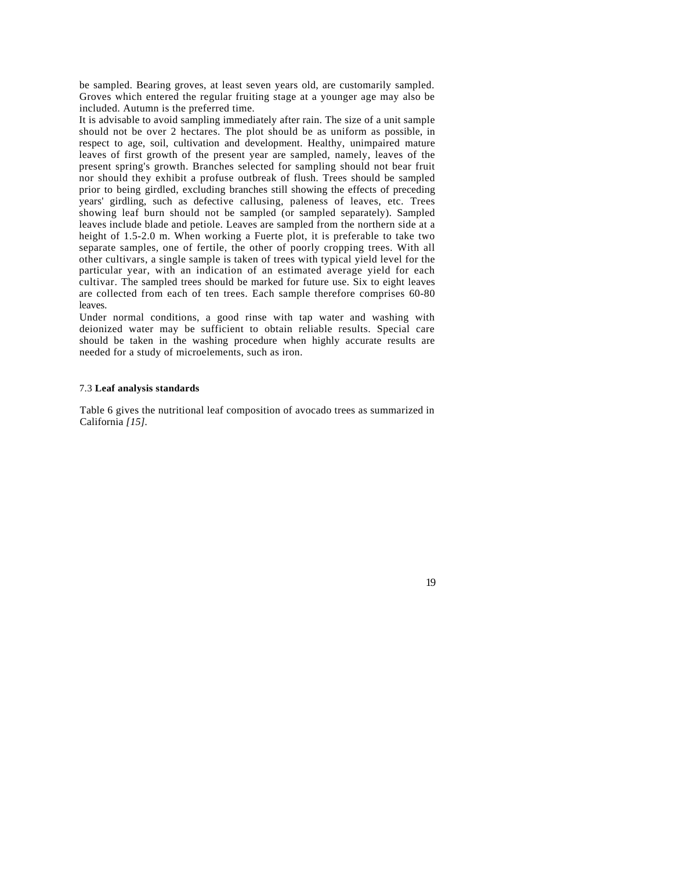be sampled. Bearing groves, at least seven years old, are customarily sampled. Groves which entered the regular fruiting stage at a younger age may also be included. Autumn is the preferred time.

It is advisable to avoid sampling immediately after rain. The size of a unit sample should not be over 2 hectares. The plot should be as uniform as possible, in respect to age, soil, cultivation and development. Healthy, unimpaired mature leaves of first growth of the present year are sampled, namely, leaves of the present spring's growth. Branches selected for sampling should not bear fruit nor should they exhibit a profuse outbreak of flush. Trees should be sampled prior to being girdled, excluding branches still showing the effects of preceding years' girdling, such as defective callusing, paleness of leaves, etc. Trees showing leaf burn should not be sampled (or sampled separately). Sampled leaves include blade and petiole. Leaves are sampled from the northern side at a height of 1.5-2.0 m. When working a Fuerte plot, it is preferable to take two separate samples, one of fertile, the other of poorly cropping trees. With all other cultivars, a single sample is taken of trees with typical yield level for the particular year, with an indication of an estimated average yield for each cultivar. The sampled trees should be marked for future use. Six to eight leaves are collected from each of ten trees. Each sample therefore comprises 60-80 leaves.

Under normal conditions, a good rinse with tap water and washing with deionized water may be sufficient to obtain reliable results. Special care should be taken in the washing procedure when highly accurate results are needed for a study of microelements, such as iron.

#### 7.3 **Leaf analysis standards**

Table 6 gives the nutritional leaf composition of avocado trees as summarized in California *[15].*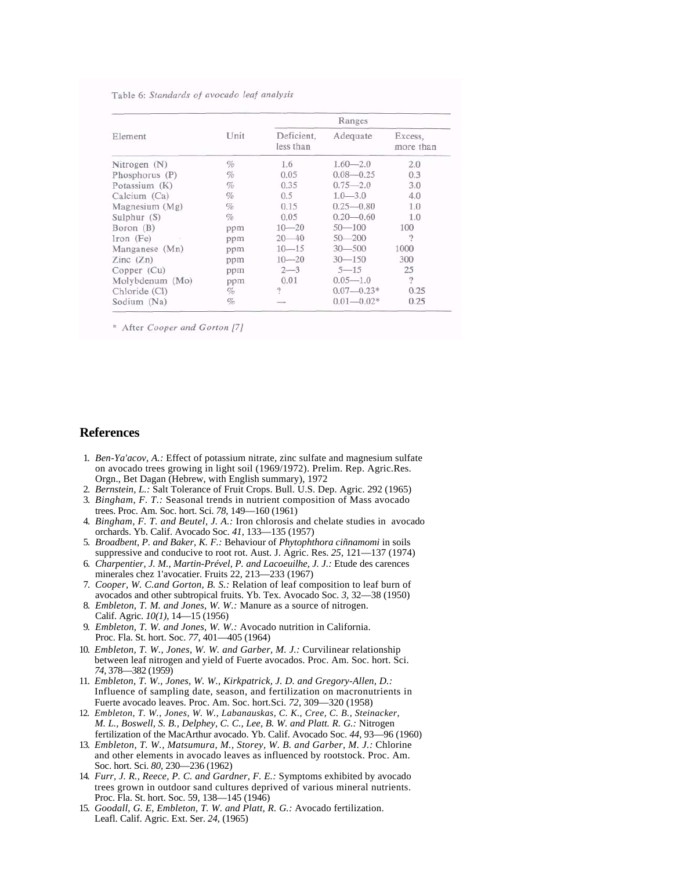Table 6: Standards of avocado leaf analysis

|                          |      | Ranges                  |                |                      |  |  |
|--------------------------|------|-------------------------|----------------|----------------------|--|--|
| Element                  | Unit | Deficient,<br>less than | Adequate       | Excess,<br>more than |  |  |
| Nitrogen $(N)$           | %    | 1.6                     | $1.60 - 2.0$   | 2.0                  |  |  |
| Phosphorus (P)           | %    | 0.05                    | $0.08 - 0.25$  | 0.3                  |  |  |
| Potassium (K)            | %    | 0.35                    | $0.75 - 2.0$   | 3.0                  |  |  |
| Calcium (Ca)             | $\%$ | 0.5                     | $1.0 - 3.0$    | 4.0                  |  |  |
| Magnesium $(Mg)$         | $\%$ | 0.15                    | $0.25 - 0.80$  | 1.0                  |  |  |
| Sulphur (S)              | $\%$ | 0.05                    | $0.20 - 0.60$  | 1.0                  |  |  |
| Boron (B)                | ppm  | $10 - 20$               | $50 - 100$     | 100                  |  |  |
| Iron (Fe)                | ppm  | $20 - 40$               | $50 - 200$     | $\gamma$             |  |  |
| Manganese (Mn)           | ppm  | $10 - 15$               | $30 - 500$     | 1000                 |  |  |
| $\text{Zinc}(\text{Zn})$ | ppm  | $10 - 20$               | $30 - 150$     | 300                  |  |  |
| Copper (Cu)              | ppm  | $2 - 3$                 | $5 - 15$       | 25                   |  |  |
| Molybdenum (Mo)          | ppm  | 0.01                    | $0.05 - 1.0$   | $\overline{2}$       |  |  |
| Chloride (Cl)            | %    | $\gamma$                | $0.07 - 0.23*$ | 0.25                 |  |  |
| Sodium (Na)              | %    |                         | $0.01 - 0.02*$ | 0.25                 |  |  |

\* After Cooper and Gorton [7]

## **References**

- 1. *Ben-Ya'acov, A.:* Effect of potassium nitrate, zinc sulfate and magnesium sulfate on avocado trees growing in light soil (1969/1972). Prelim. Rep. Agric.Res. Orgn., Bet Dagan (Hebrew, with English summary), 1972
- 2. *Bernstein, L.:* Salt Tolerance of Fruit Crops. Bull. U.S. Dep. Agric. 292 (1965)
- 3. *Bingham, F. T.:* Seasonal trends in nutrient composition of Mass avocado trees. Proc. Am. Soc. hort. Sci. *78,* 149—160 (1961)
- 4. *Bingham, F. T. and Beutel, J. A.:* Iron chlorosis and chelate studies in avocado orchards. Yb. Calif. Avocado Soc. *41,* 133—135 (1957)
- 5. *Broadbent, P. and Baker, K. F.:* Behaviour of *Phytophthora ciñnamomi* in soils suppressive and conducive to root rot. Aust. J. Agric. Res. *25,* 121—137 (1974)
- 6. *Charpentier, J. M., Martin-Prével, P. and Lacoeuilhe, J. J.:* Etude des carences minerales chez 1'avocatier. Fruits 22, 213—233 (1967)
- 7. *Cooper, W. C.and Gorton, B. S.:* Relation of leaf composition to leaf burn of avocados and other subtropical fruits. Yb. Tex. Avocado Soc. *3,* 32—38 (1950)
- 8. *Embleton, T. M. and Jones, W. W.:* Manure as a source of nitrogen. Calif. Agric. *10(1),* 14—15 (1956)
- 9. *Embleton, T. W. and Jones, W. W.:* Avocado nutrition in California. Proc. Fla. St. hort. Soc. *77,* 401—405 (1964)
- 10. *Embleton, T. W., Jones, W. W. and Garber, M. J.:* Curvilinear relationship between leaf nitrogen and yield of Fuerte avocados. Proc. Am. Soc. hort. Sci. *74,* 378—382 (1959)
- 11. *Embleton, T. W., Jones, W. W., Kirkpatrick, J. D. and Gregory-Allen, D.:*  Influence of sampling date, season, and fertilization on macronutrients in Fuerte avocado leaves. Proc. Am. Soc. hort.Sci. *72,* 309—320 (1958)
- 12. *Embleton, T. W., Jones, W. W., Labanauskas, C. K., Cree, C. B., Steinacker, M. L., Boswell, S. B., Delphey, C. C., Lee, B. W. and Platt. R. G.:* Nitrogen fertilization of the MacArthur avocado. Yb. Calif. Avocado Soc. *44,* 93—96 (1960)
- 13. *Embleton, T. W., Matsumura, M., Storey, W. B. and Garber, M. J.:* Chlorine and other elements in avocado leaves as influenced by rootstock. Proc. Am. Soc. hort. Sci. *80,* 230—236 (1962)
- 14. *Furr, J. R., Reece, P. C. and Gardner, F. E.:* Symptoms exhibited by avocado trees grown in outdoor sand cultures deprived of various mineral nutrients. Proc. Fla. St. hort. Soc. 59, 138—145 (1946)
- 15. *Goodall, G. E, Embleton, T. W. and Platt, R. G.:* Avocado fertilization. Leafl. Calif. Agric. Ext. Ser. *24,* (1965)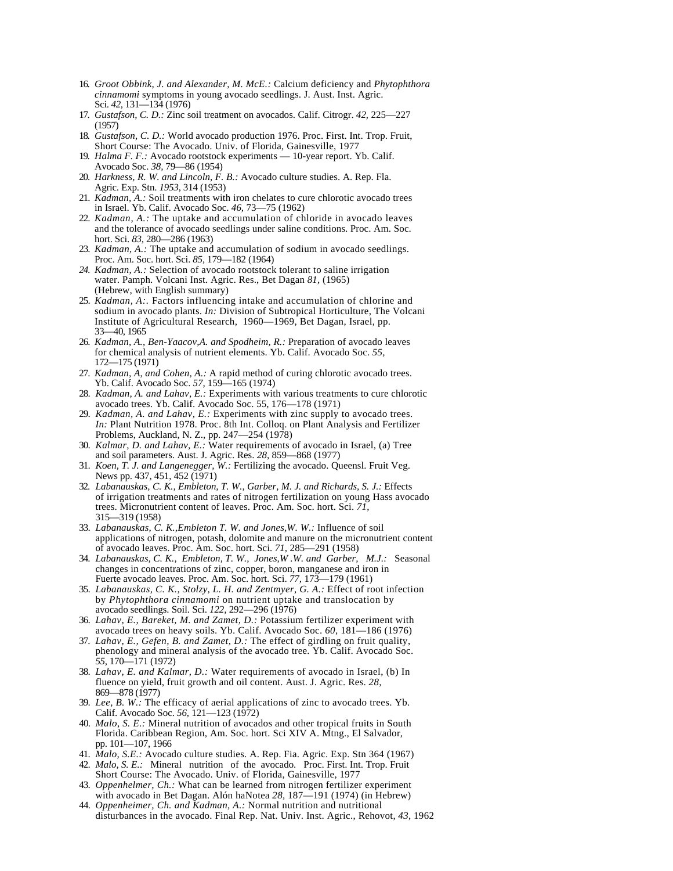- 16. *Groot Obbink, J. and Alexander, M. McE.:* Calcium deficiency and *Phytophthora cinnamomi* symptoms in young avocado seedlings. J. Aust. Inst. Agric. Sci. *42,* 131—134 (1976)
- 17. *Gustafson, C. D.:* Zinc soil treatment on avocados. Calif. Citrogr. *42,* 225—227 (1957)
- 18. *Gustafson, C. D.:* World avocado production 1976. Proc. First. Int. Trop. Fruit, Short Course: The Avocado. Univ. of Florida, Gainesville, 1977
- 19. *Halma F. F.:* Avocado rootstock experiments 10-year report. Yb. Calif. Avocado Soc. *38,* 79—86 (1954)
- 20. *Harkness, R. W. and Lincoln, F. B.:* Avocado culture studies. A. Rep. Fla. Agric. Exp. Stn. *1953,* 314 (1953)
- 21. *Kadman, A.:* Soil treatments with iron chelates to cure chlorotic avocado trees in Israel. Yb. Calif. Avocado Soc. *46,* 73—75 (1962)
- 22. *Kadman, A.:* The uptake and accumulation of chloride in avocado leaves and the tolerance of avocado seedlings under saline conditions. Proc. Am. Soc. hort. Sci. *83,* 280—286 (1963)
- 23. *Kadman, A.:* The uptake and accumulation of sodium in avocado seedlings. Proc. Am. Soc. hort. Sci. *85,* 179—182 (1964)
- *24. Kadman, A.:* Selection of avocado rootstock tolerant to saline irrigation water. Pamph. Volcani Inst. Agric. Res., Bet Dagan *81,* (1965) (Hebrew, with English summary)
- 25. *Kadman, A:.* Factors influencing intake and accumulation of chlorine and sodium in avocado plants. *In:* Division of Subtropical Horticulture, The Volcani Institute of Agricultural Research, 1960—1969, Bet Dagan, Israel, pp. 33—40, 1965
- 26. *Kadman, A., Ben-Yaacov,A. and Spodheim, R.:* Preparation of avocado leaves for chemical analysis of nutrient elements. Yb. Calif. Avocado Soc. *55,*  172—175 (1971)
- 27. *Kadman, A, and Cohen, A.:* A rapid method of curing chlorotic avocado trees. Yb. Calif. Avocado Soc. *57,* 159—165 (1974)
- 28. *Kadman, A. and Lahav, E.:* Experiments with various treatments to cure chlorotic avocado trees. Yb. Calif. Avocado Soc. 55, 176—178 (1971)
- 29. *Kadman, A. and Lahav, E.:* Experiments with zinc supply to avocado trees. *In:* Plant Nutrition 1978. Proc. 8th Int. Colloq. on Plant Analysis and Fertilizer Problems, Auckland, N. Z., pp. 247—254 (1978)
- 30. *Kalmar, D. and Lahav, E.:* Water requirements of avocado in Israel, (a) Tree and soil parameters. Aust. J. Agric. Res. *28,* 859—868 (1977)
- 31. *Koen, T. J. and Langenegger, W.:* Fertilizing the avocado. Queensl. Fruit Veg. News pp. 437, 451, 452 (1971)
- 32. *Labanauskas, C. K., Embleton, T. W., Garber, M. J. and Richards, S. J.:* Effects of irrigation treatments and rates of nitrogen fertilization on young Hass avocado trees. Micronutrient content of leaves. Proc. Am. Soc. hort. Sci. *71,*  315—319 (1958)
- 33. *Labanauskas, C. K.,Embleton T. W. and Jones,W. W.:* Influence of soil applications of nitrogen, potash, dolomite and manure on the micronutrient content of avocado leaves. Proc. Am. Soc. hort. Sci. *71,* 285—291 (1958)
- 34. *Labanauskas, C. K., Embleton, T. W., Jones,W .W. and Garber, M.J.:* Seasonal changes in concentrations of zinc, copper, boron, manganese and iron in Fuerte avocado leaves. Proc. Am. Soc. hort. Sci. *77,* 173—179 (1961)
- 35. *Labanauskas, C. K., Stolzy, L. H. and Zentmyer, G. A.:* Effect of root infection by *Phytophthora cinnamomi* on nutrient uptake and translocation by avocado seedlings. Soil. Sci. *122,* 292—296 (1976)
- 36. *Lahav, E., Bareket, M. and Zamet, D.:* Potassium fertilizer experiment with avocado trees on heavy soils. Yb. Calif. Avocado Soc. *60,* 181—186 (1976)
- 37. *Lahav, E., Gefen, B. and Zamet, D.:* The effect of girdling on fruit quality, phenology and mineral analysis of the avocado tree. Yb. Calif. Avocado Soc. *55,* 170—171 (1972)
- 38. *Lahav, E. and Kalmar, D.:* Water requirements of avocado in Israel, (b) In fluence on yield, fruit growth and oil content. Aust. J. Agric. Res. *28,*  869—878 (1977)
- 39. *Lee, B. W.:* The efficacy of aerial applications of zinc to avocado trees. Yb. Calif. Avocado Soc. *56,* 121—123 (1972)
- 40. *Malo, S. E.:* Mineral nutrition of avocados and other tropical fruits in South Florida. Caribbean Region, Am. Soc. hort. Sci XIV A. Mtng., El Salvador, pp. 101—107, 1966
- 41. *Malo, S.E.:* Avocado culture studies. A. Rep. Fia. Agric. Exp. Stn 364 (1967)
- 42. *Malo, S. E.:* Mineral nutrition of the avocado. Proc. First. Int. Trop. Fruit Short Course: The Avocado. Univ. of Florida, Gainesville, 1977
- 43. *Oppenhelmer, Ch.:* What can be learned from nitrogen fertilizer experiment with avocado in Bet Dagan. Alón haNotea *28,* 187—191 (1974) (in Hebrew)
- 44. *Oppenheimer, Ch. and Kadman, A.:* Normal nutrition and nutritional disturbances in the avocado. Final Rep. Nat. Univ. Inst. Agric., Rehovot, *43,* 1962